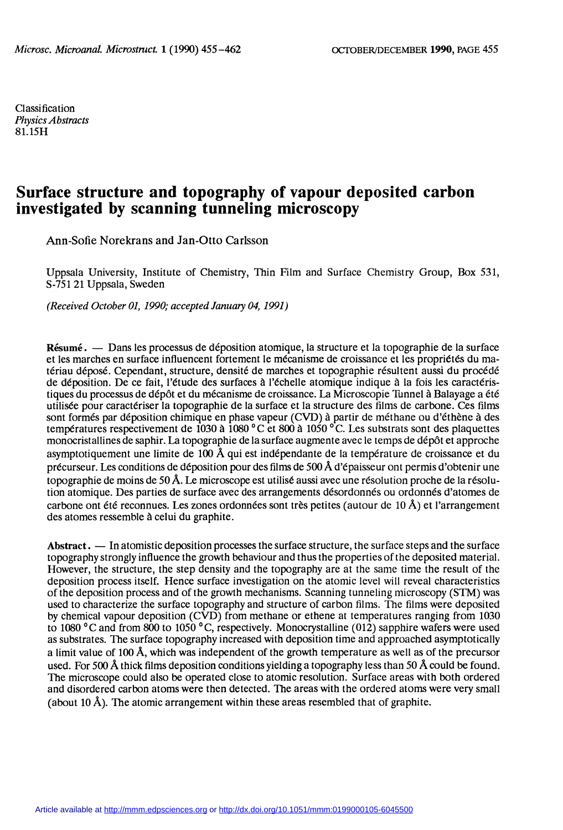Classification Physics Abstracts 81.15H

# Surface structure and topography of vapour deposited carbon investigated by scanning tunneling microscopy

Ann-Sofie Norekrans and Jan-Otto Carlsson

Uppsala University, Institute of Chemistry, Thin Film and Surface Chemistry Group, Box 531, S-751 21 Uppsala, Sweden

(Received October 01, 1990; accepted January 04, 1991)

Résumé. - Dans les processus de déposition atomique, la structure et la topographie de la surface et les marches en surface influencent fortement le mécanisme de croissance et les propriétés du matériau déposé. Cependant, structure, densité de marches et topographie résultent aussi du procédé de déposition. De ce fait, l'étude des surfaces à l'échelle atomique indique à la fois les caractéristiques du processus de dépôt et du mécanisme de croissance. La Microscopie Tunnel à Balayage a été utilisée pour caractériser la topographie de la surface et la structure des films de carbone. Ces films sont formés par déposition chimique en phase vapeur (CVD) à partir de méthane ou d'éthène à des températures respectivement de 1030 à 1080 °C et 800 à 1050 °C. Les substrats sont des plaquettes monocristallines de saphir. La topographie de la surface augmente avec le temps de dépôt et approche asymptotiquement une limite de 100 Å qui est indépendante de la température de croissance et du précurseur. Les conditions de déposition pour des films de 500 Å d'épaisseur ont permis d'obtenir une topographie de moins de 50 A. Le microscope est utilisé aussi avec une résolution proche de la résolution atomique. Des parties de surface avec des arrangements désordonnés ou ordonnés d'atomes de carbone ont été reconnues. Les zones ordonnées sont très petites (autour de 10 A) et l'arrangement des atomes ressemble à celui du graphite.

Abstract. — In atomistic deposition processes the surface structure, the surface steps and the surface topography strongly influence the growth behaviour and thus the properties of the deposited material. However, the structure, the step density and the topography are at the same time the result of the deposition process itself. Hence surface investigation on the atomic level will reveal characteristics of the deposition process and of the growth mechanisms. Scanning tunneling microscopy (STM) was used to characterize the surface topography and structure of carbon films. The films were deposited by chemical vapour deposition (CVD) from methane or ethene at temperatures ranging from 1030 to 1080 ° C and from 800 to 1050 ° C, respectively. Monocrystalline (012) sapphire wafers were used as substrates. The surface topography increased with deposition time and approached asymptotically a limit value of 100 A, which was independent of the growth temperature as well as of the precursor used. For 500 Å thick films deposition conditions yielding a topography less than 50 Å could be found. The microscope could also be operated close to atomic resolution. Surface areas with both ordered and disordered carbon atoms were then detected. The areas with the ordered atoms were very small (about 10  $\AA$ ). The atomic arrangement within these areas resembled that of graphite.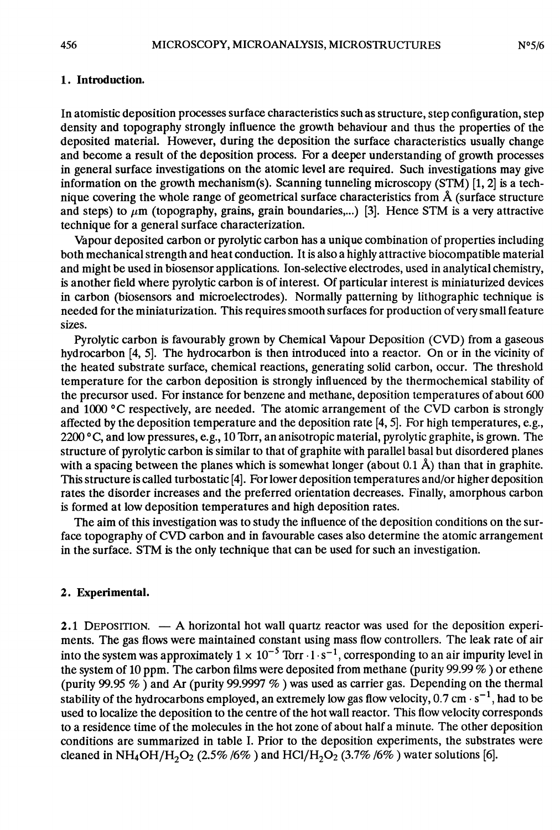## 1. Introduction.

In atomistic deposition processes surface characteristics such as structure, step configuration, step density and topography strongly influence the growth behaviour and thus the properties of the deposited material. However, during the deposition the surface characteristics usually change and become a result of the deposition process. For a deeper understanding of growth processes in general surface investigations on the atomic level are required. Such investigations may give information on the growth mechanism(s). Scanning tunneling microscopy (STM) [1, 2] is a technique covering the whole range of geometrical surface characteristics from  $\AA$  (surface structure and steps) to  $\mu$ m (topography, grains, grain boundaries,...) [3]. Hence STM is a very attractive technique for a general surface characterization.

Vapour deposited carbon or pyrolytic carbon has a unique combination of properties including both mechanical strength and heat conduction. It is also a highly attractive biocompatible material and might be used in biosensor applications. Ion-selective electrodes, used in analytical chemistry, is another field where pyrolytic carbon is of interest. Of particular interest is miniaturized devices in carbon (biosensors and microelectrodes). Normally patterning by lithographic technique is needed for the miniaturization. This requires smooth surfaces for production of very small feature sizes.

Pyrolytic carbon is favourably grown by Chemical Vapour Deposition (CVD) from a gaseous hydrocarbon [4, 5]. The hydrocarbon is then introduced into a reactor. On or in the vicinity of the heated substrate surface, chemical reactions, generating solid carbon, occur. The threshold temperature for the carbon deposition is strongly influenced by the thermochemical stability of the precursor used. For instance for benzene and methane, deposition temperatures of about 600 and 1000 °C respectively, are needed. The atomic arrangement of the CVD carbon is strongly affected by the deposition temperature and the deposition rate  $[4, 5]$ . For high temperatures, e.g., 2200 °C, and low pressures, e.g., 10 Torr, an anisotropic material, pyrolytic graphite, is grown. The structure of pyrolytic carbon is similar to that of graphite with parallel basal but disordered planes with a spacing between the planes which is somewhat longer (about  $0.1 \text{ Å}$ ) than that in graphite. This structure is called turbostatic [4]. For lower deposition temperatures and/or higher deposition rates the disorder increases and the preferred orientation decreases. Finally, amorphous carbon is formed at low deposition temperatures and high deposition rates.

The aim of this investigation was to study the influence of the deposition conditions on the surface topography of CVD carbon and in favourable cases also determine the atomic arrangement in the surface. STM is the only technique that can be used for such an investigation.

### 2. Experimental.

2.1 DEPOSITION.  $- A$  horizontal hot wall quartz reactor was used for the deposition experiments. The gas flows were maintained constant using mass flow controllers. The leak rate of air into the system was approximately  $1 \times 10^{-5}$  Torr  $\cdot 1 \cdot s^{-1}$ , corresponding to an air impurity level in the system of 10 ppm. The carbon films were deposited from methane (purity 99.99 % ) or ethene (purity 99.95  $\%$  ) and Ar (purity 99.9997  $\%$  ) was used as carrier gas. Depending on the thermal stability of the hydrocarbons employed, an extremely low gas flow velocity,  $0.7 \text{ cm} \cdot \text{s}^{-1}$ , had to be used to localize the deposition to the centre of the hot wall reactor. This flow velocity corresponds to a residence time of the molecules in the hot zone of about half a minute. The other deposition conditions are summarized in table I. Prior to the deposition experiments, the substrates were cleaned in NH<sub>4</sub>OH/H<sub>2</sub>O<sub>2</sub> (2.5% /6%) and HCl/H<sub>2</sub>O<sub>2</sub> (3.7% /6%) water solutions [6].

456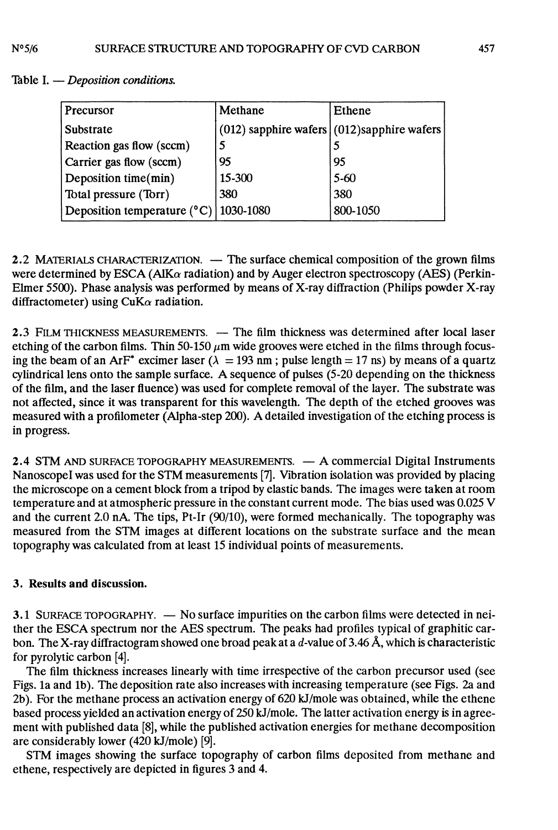| Precursor                                      | Methane | Ethene                                          |
|------------------------------------------------|---------|-------------------------------------------------|
| Substrate                                      |         | $(012)$ sapphire wafers $(012)$ sapphire wafers |
| Reaction gas flow (sccm)                       |         |                                                 |
| Carrier gas flow (sccm)                        | 95      | 95                                              |
| Deposition time(min)                           | 15-300  | $5 - 60$                                        |
| Total pressure (Torr)                          | 380     | 380                                             |
| Deposition temperature $(^{\circ}C)$ 1030-1080 |         | 800-1050                                        |

Table I.  $-$  Deposition conditions.

2.2 MATERIALS CHARACTERIZATION. - The surface chemical composition of the grown films were determined by ESCA (AlK $\alpha$  radiation) and by Auger electron spectroscopy (AES) (Perkin-Elmer 5500). Phase analysis was performed by means of X-ray diffraction (Philips powder X-ray diffractometer) using  $CuK\alpha$  radiation.

2.3 FILM THICKNESS MEASUREMENTS. - The film thickness was determined after local laser etching of the carbon films. Thin 50-150  $\mu$ m wide grooves were etched in the films through focusing the beam of an ArF<sup>\*</sup> excimer laser ( $\lambda = 193$  nm; pulse length = 17 ns) by means of a quartz cylindrical lens onto the sample surface. A sequence of pulses (5-20 depending on the thickness of the film, and the laser fluence) was used for complete removal of the layer. The substrate was not affected, since it was transparent for this wavelength. The depth of the etched grooves was measured with a profilometer (Alpha-step 200). A detailed investigation of the etching process is in progress.

2.4 STM AND SURFACE TOPOGRAPHY MEASUREMENTS. - A commercial Digital Instruments NanoscopeI was used for the STM measurements [7]. Vibration isolation was provided by placing the microscope on a cement block from a tripod by elastic bands. The images were taken at room temperature and at atmospheric pressure in the constant current mode. The bias used was 0.025 V and the current 2.0 nA. The tips, Pt-Ir (90/10), were formed mechanically. The topography was measured from the STM images at different locations on the substrate surface and the mean topography was calculated from at least 15 individual points of measurements.

# 3. Results and discussion.

3.1 SURFACE TOPOGRAPHY. - No surface impurities on the carbon films were detected in neither the ESCA spectrum nor the AES spectrum. The peaks had profiles typical of graphitic carbon. The X-ray diffractogram showed one broad peak at a d-value of 3.46 Å, which is characteristic for pyrolytic carbon [4].

The film thickness increases linearly with time irrespective of the carbon precursor used (see Figs. la and lb). The deposition rate also increases with increasing temperature (see Figs. 2a and 2b). For the methane process an activation energy of 620 kJ/mole was obtained, while the ethene based process yielded an activation energy of 250 kJ/mole. The latter activation energy is in agreement with published data [8], while the published activation energies for methane decomposition are considerably lower (420 kJ/mole) [9].

STM images showing the surface topography of carbon films deposited from methane and ethene, respectively are depicted in figures 3 and 4.

 $N^{\circ}5/6$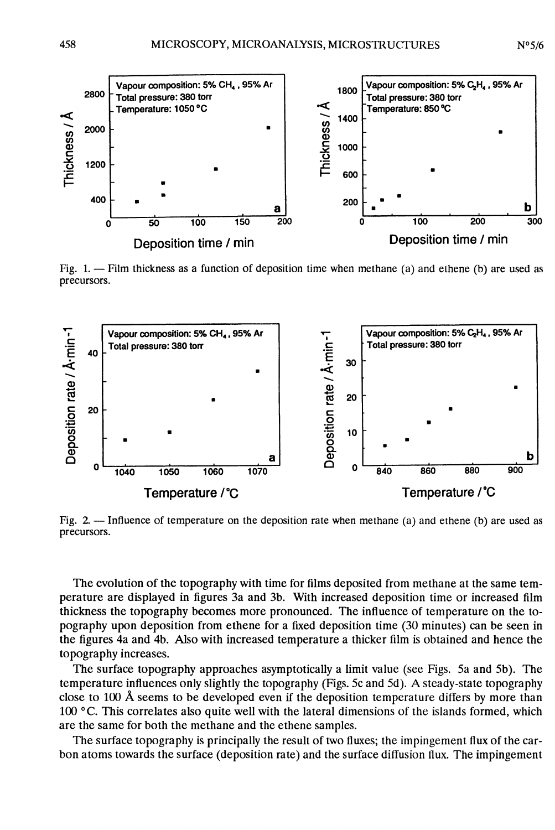

Fig. 1. - Film thickness as a function of deposition time when methane (a) and ethene (b) are used as precursors.



Fig. 2. - Influence of temperature on the deposition rate when methane (a) and ethene (b) are used as precursors.

The evolution of the topography with time for films deposited from methane at the same temperature are displayed in figures 3a and 3b. With increased deposition time or increased film thickness the topography becomes more pronounced. The influence of temperature on the topography upon deposition from ethene for a fixed deposition time (30 minutes) can be seen in the figures 4a and 4b. Also with increased temperature a thicker film is obtained and hence the topography increases.

The surface topography approaches asymptotically a limit value (see Figs. 5a and 5b). The temperature influences only slightly the topography (Figs. 5c and 5d). A steady-state topography close to 100 Â seems to be developed even if the deposition temperature differs by more than 100 ° C. This correlates also quite well with the lateral dimensions of the islands formed, which are the same for both the methane and the ethene samples.

The surface topography is principally the result of two fluxes; the impingement flux of the carbon atoms towards the surface (deposition rate) and the surface diffusion flux. The impingement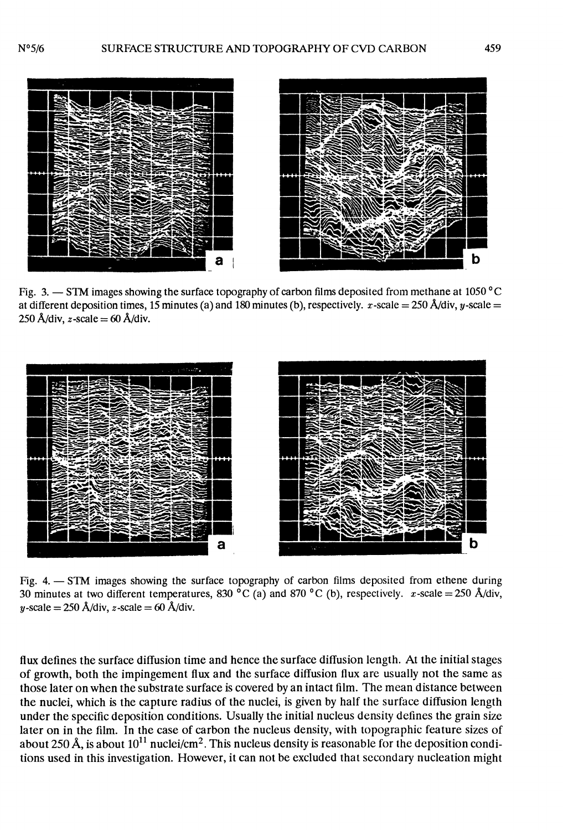

Fig. 3.  $-$  STM images showing the surface topography of carbon films deposited from methane at 1050 °C at different deposition times, 15 minutes (a) and 180 minutes (b), respectively. x-scale = 250 Å/div, y-scale = 250 Å/div,  $z$ -scale = 60 Å/div.



Fig. 4. - STM images showing the surface topography of carbon films deposited from ethene during 30 minutes at two different temperatures, 830 °C (a) and 870 °C (b), respectively.  $x$ -scale = 250 Å/div, y-scale =  $250$  Å/div, z-scale =  $60$  Å/div.

flux defines the surface diffusion time and hence the surface diffusion length. At the initial stages of growth, both the impingement flux and the surface diffusion flux are usually not the same as those later on when the substrate surface is covered by an intact film. The mean distance between the nuclei, which is the capture radius of the nuclei, is given by half the surface diffusion length under the specific deposition conditions. Usually the initial nucleus density defines the grain size later on in the film. In the case of carbon the nucleus density, with topographic feature sizes of about 250 Å, is about  $10^{11}$  nuclei/cm<sup>2</sup>. This nucleus density is reasonable for the deposition conditions used in this investigation. However, it can not be excluded that secondary nucleation might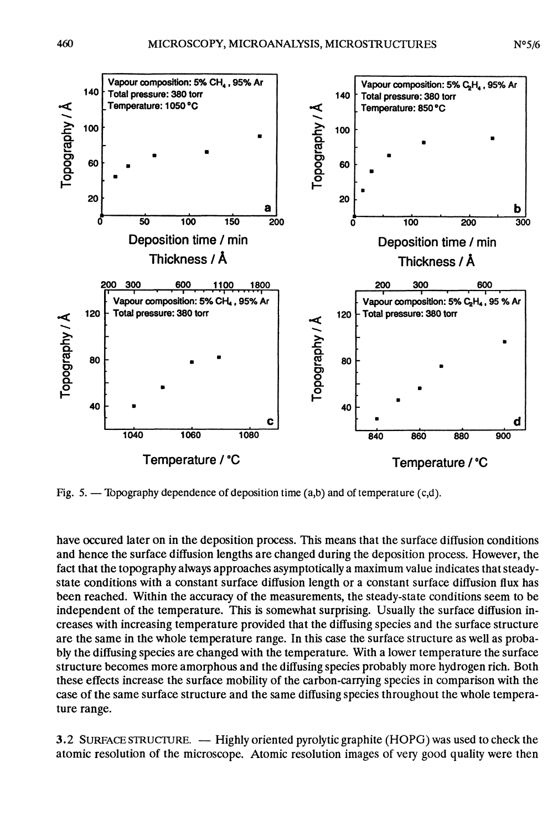

Fig. 5. - Topography dependence of deposition time (a,b) and of temperature (c,d).

have occured later on in the deposition process. This means that the surface diffusion conditions and hence the surface diffusion lengths are changed during the deposition process. However, the fact that the topography always approaches asymptotically a maximum value indicates that steadystate conditions with a constant surface diffusion length or a constant surface diffusion flux has been reached. Within the accuracy of the measurements, the steady-state conditions seem to be independent of the temperature. This is somewhat surprising. Usually the surface diffusion increases with increasing temperature provided that the diffusing species and the surface structure are the same in the whole temperature range. In this case the surface structure as well as probably the diffusing species are changed with the temperature. With a lower temperature the surface structure becomes more amorphous and the diffusing species probably more hydrogen rich. Both these effects increase the surface mobility of the carbon-carrying species in comparison with the case of the same surface structure and the same diffusing species throughout the whole temperature range.

3.2 SURFACE STRUCTURE. — Highly oriented pyrolytic graphite (HOPG) was used to check the atomic resolution of the microscope. Atomic resolution images of very good quality were then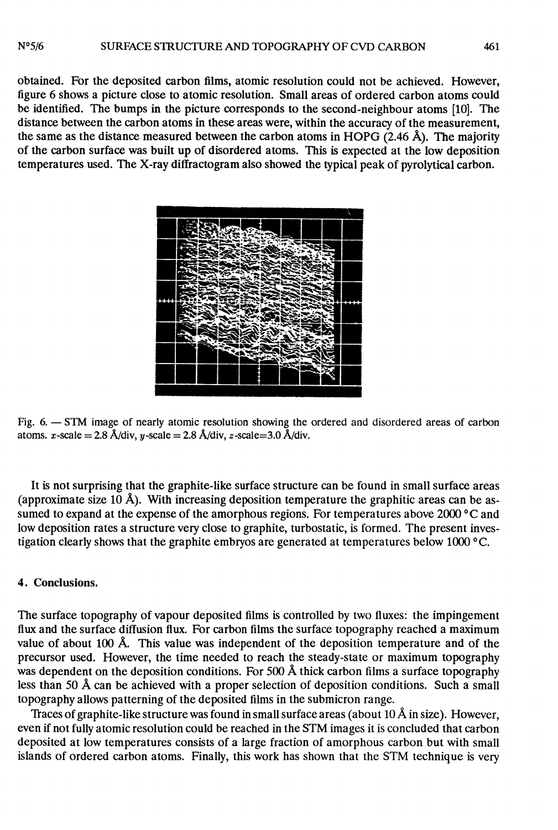obtained. For the deposited carbon films, atomic resolution could not be achieved. However, figure 6 shows a picture close to atomic resolution. Small areas of ordered carbon atoms could be identified. The bumps in the picture corresponds to the second-neighbour atoms [10]. The distance between the carbon atoms in these areas were, within the accuracy of the measurement, the same as the distance measured between the carbon atoms in HOPG (2.46 Â). The majority of the carbon surface was built up of disordered atoms. This is expected at the low deposition temperatures used. The X-ray diffractogram also showed the typical peak of pyrolytical carbon.



Fig. 6. - STM image of nearly atomic resolution showing the ordered and disordered areas of carbon atoms. x-scale =  $2.8 \text{ Å}/\text{div}$ , y-scale =  $2.8 \text{ Å}/\text{div}$ , z-scale =  $3.0 \text{ Å}/\text{div}$ .

It is not surprising that the graphite-like surface structure can be found in small surface areas (approximate size 10 Å). With increasing deposition temperature the graphitic areas can be assumed to expand at the expense of the amorphous regions. For temperatures above 2000 °C and low deposition rates a structure very close to graphite, turbostatic, is formed. The present investigation clearly shows that the graphite embryos are generated at temperatures below 1000 °C.

# 4. Conclusions.

The surface topography of vapour deposited films is controlled by two fluxes: the impingement flux and the surface diffusion flux. For carbon films the surface topography reached a maximum value of about 100  $\AA$ . This value was independent of the deposition temperature and of the precursor used. However, the time needed to reach the steady-state or maximum topography was dependent on the deposition conditions. For 500 Å thick carbon films a surface topography less than 50 Â can be achieved with a proper selection of deposition conditions. Such a small topography allows patterning of the deposited films in the submicron range.<br>Traces of graphite-like structure was found in small surface areas (about 10 Å in size). However,

even if not fully atomic resolution could be reached in the STM images it is concluded that carbon deposited at low temperatures consists of a large fraction of amorphous carbon but with small islands of ordered carbon atoms. Finally, this work has shown that the STM technique is very